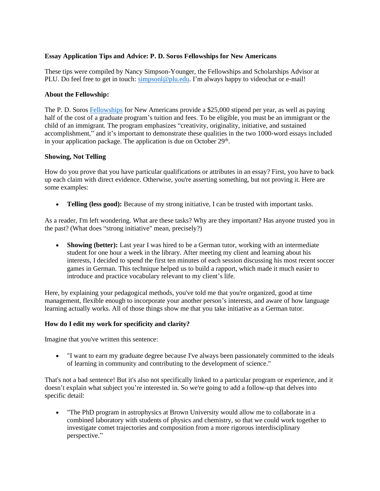# **Essay Application Tips and Advice: P. D. Soros Fellowships for New Americans**

These tips were compiled by Nancy Simpson-Younger, the Fellowships and Scholarships Advisor at PLU. Do feel free to get in touch: [simpsonl@plu.edu.](mailto:simpsonl@plu.edu) I'm always happy to videochat or e-mail!

### **About the Fellowship:**

The P. D. Soro[s Fellowships](https://www.pdsoros.org/apply) for New Americans provide a \$25,000 stipend per year, as well as paying half of the cost of a graduate program's tuition and fees. To be eligible, you must be an immigrant or the child of an immigrant. The program emphasizes "creativity, originality, initiative, and sustained accomplishment," and it's important to demonstrate these qualities in the two 1000-word essays included in your application package. The application is due on October 29<sup>th</sup>.

### **Showing, Not Telling**

How do you prove that you have particular qualifications or attributes in an essay? First, you have to back up each claim with direct evidence. Otherwise, you're asserting something, but not proving it. Here are some examples:

• **Telling (less good):** Because of my strong initiative, I can be trusted with important tasks.

As a reader, I'm left wondering. What are these tasks? Why are they important? Has anyone trusted you in the past? (What does "strong initiative" mean, precisely?)

• **Showing (better):** Last year I was hired to be a German tutor, working with an intermediate student for one hour a week in the library. After meeting my client and learning about his interests, I decided to spend the first ten minutes of each session discussing his most recent soccer games in German. This technique helped us to build a rapport, which made it much easier to introduce and practice vocabulary relevant to my client's life.

Here, by explaining your pedagogical methods, you've told me that you're organized, good at time management, flexible enough to incorporate your another person's interests, and aware of how language learning actually works. All of those things show me that you take initiative as a German tutor.

### **How do I edit my work for specificity and clarity?**

Imagine that you've written this sentence:

• "I want to earn my graduate degree because I've always been passionately committed to the ideals of learning in community and contributing to the development of science."

That's not a bad sentence! But it's also not specifically linked to a particular program or experience, and it doesn't explain what subject you're interested in. So we're going to add a follow-up that delves into specific detail:

• "The PhD program in astrophysics at Brown University would allow me to collaborate in a combined laboratory with students of physics and chemistry, so that we could work together to investigate comet trajectories and composition from a more rigorous interdisciplinary perspective."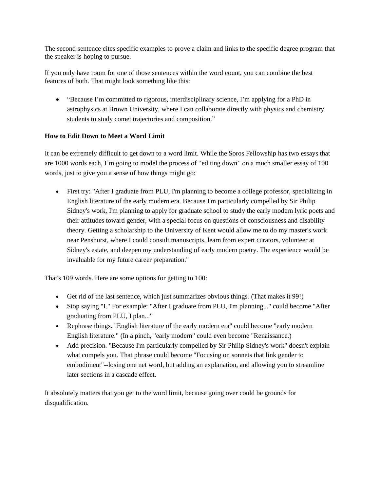The second sentence cites specific examples to prove a claim and links to the specific degree program that the speaker is hoping to pursue.

If you only have room for one of those sentences within the word count, you can combine the best features of both. That might look something like this:

• "Because I'm committed to rigorous, interdisciplinary science, I'm applying for a PhD in astrophysics at Brown University, where I can collaborate directly with physics and chemistry students to study comet trajectories and composition."

# **How to Edit Down to Meet a Word Limit**

It can be extremely difficult to get down to a word limit. While the Soros Fellowship has two essays that are 1000 words each, I'm going to model the process of "editing down" on a much smaller essay of 100 words, just to give you a sense of how things might go:

• First try: "After I graduate from PLU, I'm planning to become a college professor, specializing in English literature of the early modern era. Because I'm particularly compelled by Sir Philip Sidney's work, I'm planning to apply for graduate school to study the early modern lyric poets and their attitudes toward gender, with a special focus on questions of consciousness and disability theory. Getting a scholarship to the University of Kent would allow me to do my master's work near Penshurst, where I could consult manuscripts, learn from expert curators, volunteer at Sidney's estate, and deepen my understanding of early modern poetry. The experience would be invaluable for my future career preparation."

That's 109 words. Here are some options for getting to 100:

- Get rid of the last sentence, which just summarizes obvious things. (That makes it 99!)
- Stop saying "I." For example: "After I graduate from PLU, I'm planning..." could become "After graduating from PLU, I plan..."
- Rephrase things. "English literature of the early modern era" could become "early modern English literature." (In a pinch, "early modern" could even become "Renaissance.)
- Add precision. "Because I'm particularly compelled by Sir Philip Sidney's work" doesn't explain what compels you. That phrase could become "Focusing on sonnets that link gender to embodiment"--losing one net word, but adding an explanation, and allowing you to streamline later sections in a cascade effect.

It absolutely matters that you get to the word limit, because going over could be grounds for disqualification.